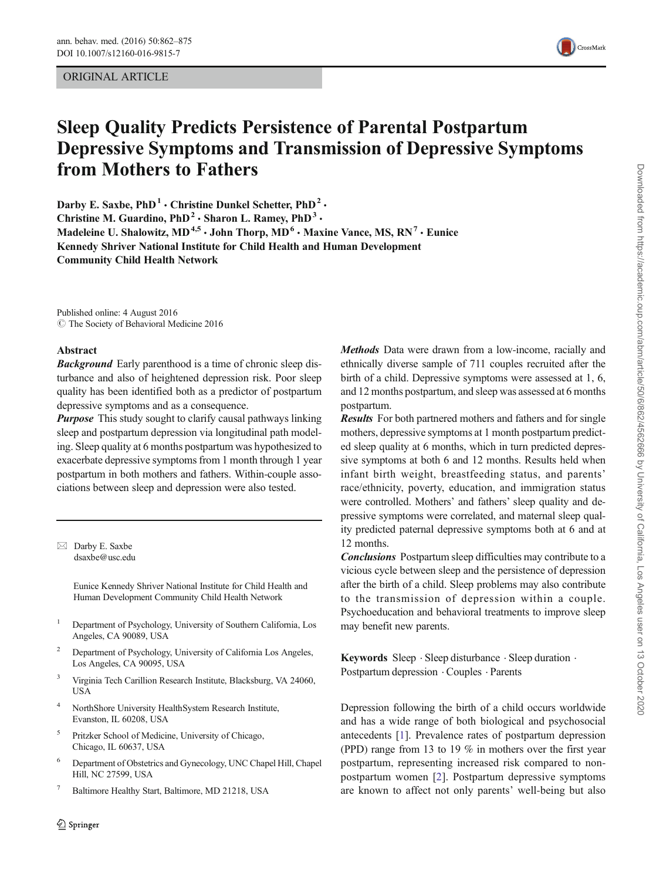#### ORIGINAL ARTICLE

# Sleep Quality Predicts Persistence of Parental Postpartum Depressive Symptoms and Transmission of Depressive Symptoms from Mothers to Fathers

Darby E. Saxbe,  $PhD<sup>1</sup> \cdot$  Christine Dunkel Schetter,  $PhD<sup>2</sup> \cdot$ Christine M. Guardino,  $PhD^2 \cdot$  Sharon L. Ramey,  $PhD^3 \cdot$ Madeleine U. Shalowitz,  $MD^{4,5} \cdot$  John Thorp,  $MD^{6} \cdot$  Maxine Vance, MS,  $RN^{7} \cdot$  Eunice Kennedy Shriver National Institute for Child Health and Human Development Community Child Health Network

Published online: 4 August 2016  $\circ$  The Society of Behavioral Medicine 2016

# Abstract

**Background** Early parenthood is a time of chronic sleep disturbance and also of heightened depression risk. Poor sleep quality has been identified both as a predictor of postpartum depressive symptoms and as a consequence.

**Purpose** This study sought to clarify causal pathways linking sleep and postpartum depression via longitudinal path modeling. Sleep quality at 6 months postpartum was hypothesized to exacerbate depressive symptoms from 1 month through 1 year postpartum in both mothers and fathers. Within-couple associations between sleep and depression were also tested.

 $\boxtimes$  Darby E. Saxbe dsaxbe@usc.edu

> Eunice Kennedy Shriver National Institute for Child Health and Human Development Community Child Health Network

- <sup>1</sup> Department of Psychology, University of Southern California, Los Angeles, CA 90089, USA
- <sup>2</sup> Department of Psychology, University of California Los Angeles, Los Angeles, CA 90095, USA
- <sup>3</sup> Virginia Tech Carillion Research Institute, Blacksburg, VA 24060, USA
- <sup>4</sup> NorthShore University HealthSystem Research Institute, Evanston, IL 60208, USA
- <sup>5</sup> Pritzker School of Medicine, University of Chicago, Chicago, IL 60637, USA
- <sup>6</sup> Department of Obstetrics and Gynecology, UNC Chapel Hill, Chapel Hill, NC 27599, USA
- Baltimore Healthy Start, Baltimore, MD 21218, USA



Results For both partnered mothers and fathers and for single mothers, depressive symptoms at 1 month postpartum predicted sleep quality at 6 months, which in turn predicted depressive symptoms at both 6 and 12 months. Results held when infant birth weight, breastfeeding status, and parents' race/ethnicity, poverty, education, and immigration status were controlled. Mothers' and fathers' sleep quality and depressive symptoms were correlated, and maternal sleep quality predicted paternal depressive symptoms both at 6 and at 12 months.

Conclusions Postpartum sleep difficulties may contribute to a vicious cycle between sleep and the persistence of depression after the birth of a child. Sleep problems may also contribute to the transmission of depression within a couple. Psychoeducation and behavioral treatments to improve sleep may benefit new parents.

Keywords Sleep . Sleep disturbance . Sleep duration . Postpartum depression . Couples . Parents

Depression following the birth of a child occurs worldwide and has a wide range of both biological and psychosocial antecedents [[1\]](#page-12-0). Prevalence rates of postpartum depression (PPD) range from 13 to 19 % in mothers over the first year postpartum, representing increased risk compared to nonpostpartum women [\[2](#page-12-0)]. Postpartum depressive symptoms are known to affect not only parents' well-being but also

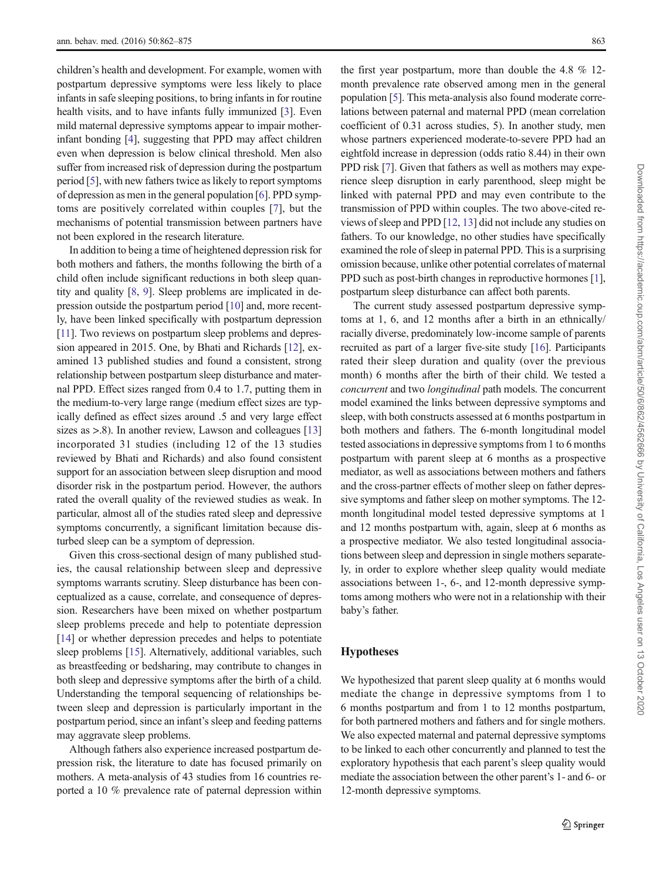children's health and development. For example, women with postpartum depressive symptoms were less likely to place infants in safe sleeping positions, to bring infants in for routine health visits, and to have infants fully immunized [\[3](#page-12-0)]. Even mild maternal depressive symptoms appear to impair motherinfant bonding [\[4](#page-12-0)], suggesting that PPD may affect children even when depression is below clinical threshold. Men also suffer from increased risk of depression during the postpartum period [[5\]](#page-12-0), with new fathers twice as likely to report symptoms of depression as men in the general population [[6\]](#page-12-0). PPD symptoms are positively correlated within couples [\[7](#page-12-0)], but the mechanisms of potential transmission between partners have not been explored in the research literature.

In addition to being a time of heightened depression risk for both mothers and fathers, the months following the birth of a child often include significant reductions in both sleep quantity and quality [[8,](#page-12-0) [9\]](#page-12-0). Sleep problems are implicated in depression outside the postpartum period [\[10\]](#page-12-0) and, more recently, have been linked specifically with postpartum depression [\[11\]](#page-12-0). Two reviews on postpartum sleep problems and depression appeared in 2015. One, by Bhati and Richards [[12](#page-12-0)], examined 13 published studies and found a consistent, strong relationship between postpartum sleep disturbance and maternal PPD. Effect sizes ranged from 0.4 to 1.7, putting them in the medium-to-very large range (medium effect sizes are typically defined as effect sizes around .5 and very large effect sizes as  $> 0.8$ ). In another review, Lawson and colleagues [\[13\]](#page-12-0) incorporated 31 studies (including 12 of the 13 studies reviewed by Bhati and Richards) and also found consistent support for an association between sleep disruption and mood disorder risk in the postpartum period. However, the authors rated the overall quality of the reviewed studies as weak. In particular, almost all of the studies rated sleep and depressive symptoms concurrently, a significant limitation because disturbed sleep can be a symptom of depression.

Given this cross-sectional design of many published studies, the causal relationship between sleep and depressive symptoms warrants scrutiny. Sleep disturbance has been conceptualized as a cause, correlate, and consequence of depression. Researchers have been mixed on whether postpartum sleep problems precede and help to potentiate depression [\[14\]](#page-12-0) or whether depression precedes and helps to potentiate sleep problems [[15\]](#page-12-0). Alternatively, additional variables, such as breastfeeding or bedsharing, may contribute to changes in both sleep and depressive symptoms after the birth of a child. Understanding the temporal sequencing of relationships between sleep and depression is particularly important in the postpartum period, since an infant's sleep and feeding patterns may aggravate sleep problems.

Although fathers also experience increased postpartum depression risk, the literature to date has focused primarily on mothers. A meta-analysis of 43 studies from 16 countries reported a 10 % prevalence rate of paternal depression within the first year postpartum, more than double the 4.8 % 12 month prevalence rate observed among men in the general population [\[5\]](#page-12-0). This meta-analysis also found moderate correlations between paternal and maternal PPD (mean correlation coefficient of 0.31 across studies, 5). In another study, men whose partners experienced moderate-to-severe PPD had an eightfold increase in depression (odds ratio 8.44) in their own PPD risk [\[7](#page-12-0)]. Given that fathers as well as mothers may experience sleep disruption in early parenthood, sleep might be linked with paternal PPD and may even contribute to the transmission of PPD within couples. The two above-cited reviews of sleep and PPD [\[12](#page-12-0), [13](#page-12-0)] did not include any studies on fathers. To our knowledge, no other studies have specifically examined the role of sleep in paternal PPD. This is a surprising omission because, unlike other potential correlates of maternal PPD such as post-birth changes in reproductive hormones [[1\]](#page-12-0), postpartum sleep disturbance can affect both parents.

The current study assessed postpartum depressive symptoms at 1, 6, and 12 months after a birth in an ethnically/ racially diverse, predominately low-income sample of parents recruited as part of a larger five-site study [\[16\]](#page-12-0). Participants rated their sleep duration and quality (over the previous month) 6 months after the birth of their child. We tested a concurrent and two longitudinal path models. The concurrent model examined the links between depressive symptoms and sleep, with both constructs assessed at 6 months postpartum in both mothers and fathers. The 6-month longitudinal model tested associations in depressive symptoms from 1 to 6 months postpartum with parent sleep at 6 months as a prospective mediator, as well as associations between mothers and fathers and the cross-partner effects of mother sleep on father depressive symptoms and father sleep on mother symptoms. The 12 month longitudinal model tested depressive symptoms at 1 and 12 months postpartum with, again, sleep at 6 months as a prospective mediator. We also tested longitudinal associations between sleep and depression in single mothers separately, in order to explore whether sleep quality would mediate associations between 1-, 6-, and 12-month depressive symptoms among mothers who were not in a relationship with their baby's father.

#### **Hypotheses**

We hypothesized that parent sleep quality at 6 months would mediate the change in depressive symptoms from 1 to 6 months postpartum and from 1 to 12 months postpartum, for both partnered mothers and fathers and for single mothers. We also expected maternal and paternal depressive symptoms to be linked to each other concurrently and planned to test the exploratory hypothesis that each parent's sleep quality would mediate the association between the other parent's 1- and 6- or 12-month depressive symptoms.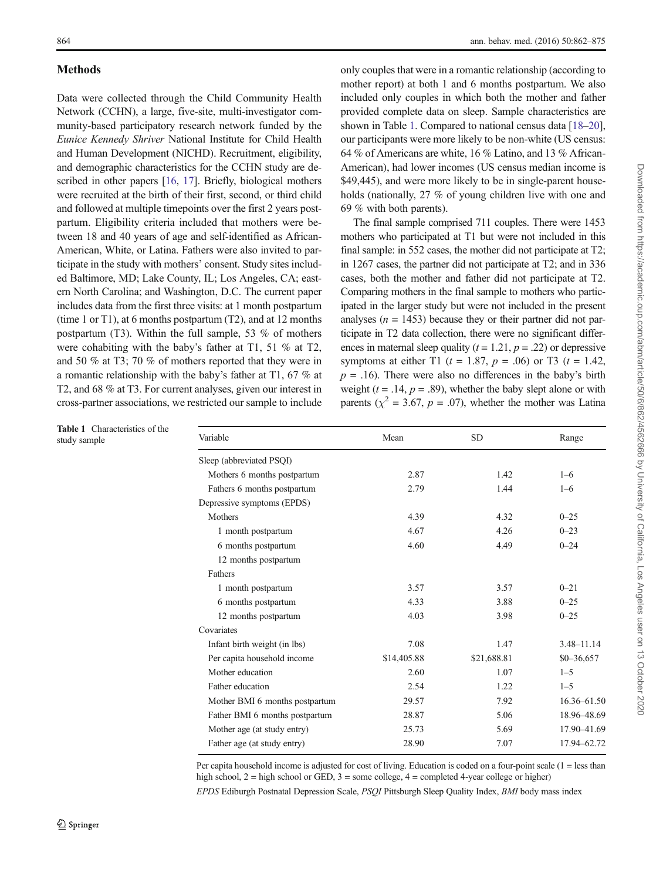## **Methods**

Data were collected through the Child Community Health Network (CCHN), a large, five-site, multi-investigator community-based participatory research network funded by the Eunice Kennedy Shriver National Institute for Child Health and Human Development (NICHD). Recruitment, eligibility, and demographic characteristics for the CCHN study are de-scribed in other papers [[16](#page-12-0), [17](#page-12-0)]. Briefly, biological mothers were recruited at the birth of their first, second, or third child and followed at multiple timepoints over the first 2 years postpartum. Eligibility criteria included that mothers were between 18 and 40 years of age and self-identified as African-American, White, or Latina. Fathers were also invited to participate in the study with mothers' consent. Study sites included Baltimore, MD; Lake County, IL; Los Angeles, CA; eastern North Carolina; and Washington, D.C. The current paper includes data from the first three visits: at 1 month postpartum (time 1 or T1), at 6 months postpartum (T2), and at 12 months postpartum (T3). Within the full sample, 53 % of mothers were cohabiting with the baby's father at T1, 51 % at T2, and 50 % at T3; 70 % of mothers reported that they were in a romantic relationship with the baby's father at T1, 67 % at T2, and 68 % at T3. For current analyses, given our interest in cross-partner associations, we restricted our sample to include only couples that were in a romantic relationship (according to mother report) at both 1 and 6 months postpartum. We also included only couples in which both the mother and father provided complete data on sleep. Sample characteristics are shown in Table 1. Compared to national census data [\[18](#page-12-0)–[20\]](#page-12-0), our participants were more likely to be non-white (US census: 64 % of Americans are white, 16 % Latino, and 13 % African-American), had lower incomes (US census median income is \$49,445), and were more likely to be in single-parent households (nationally, 27 % of young children live with one and 69 % with both parents).

The final sample comprised 711 couples. There were 1453 mothers who participated at T1 but were not included in this final sample: in 552 cases, the mother did not participate at T2; in 1267 cases, the partner did not participate at T2; and in 336 cases, both the mother and father did not participate at T2. Comparing mothers in the final sample to mothers who participated in the larger study but were not included in the present analyses ( $n = 1453$ ) because they or their partner did not participate in T2 data collection, there were no significant differences in maternal sleep quality  $(t = 1.21, p = .22)$  or depressive symptoms at either T1 ( $t = 1.87$ ,  $p = .06$ ) or T3 ( $t = 1.42$ ,  $p = .16$ ). There were also no differences in the baby's birth weight ( $t = .14$ ,  $p = .89$ ), whether the baby slept alone or with parents ( $\chi^2$  = 3.67, p = .07), whether the mother was Latina

| Table 1 Characteristics of the<br>study sample | Variable                       | Mean        | <b>SD</b>   | Range          |
|------------------------------------------------|--------------------------------|-------------|-------------|----------------|
|                                                | Sleep (abbreviated PSQI)       |             |             |                |
|                                                | Mothers 6 months postpartum    | 2.87        | 1.42        | $1 - 6$        |
|                                                | Fathers 6 months postpartum    | 2.79        | 1.44        | $1 - 6$        |
|                                                | Depressive symptoms (EPDS)     |             |             |                |
|                                                | Mothers                        | 4.39        | 4.32        | $0 - 25$       |
|                                                | 1 month postpartum             | 4.67        | 4.26        | $0 - 23$       |
|                                                | 6 months postpartum            | 4.60        | 4.49        | $0 - 24$       |
|                                                | 12 months postpartum           |             |             |                |
|                                                | Fathers                        |             |             |                |
|                                                | 1 month postpartum             | 3.57        | 3.57        | $0 - 21$       |
|                                                | 6 months postpartum            | 4.33        | 3.88        | $0 - 25$       |
|                                                | 12 months postpartum           | 4.03        | 3.98        | $0 - 25$       |
|                                                | Covariates                     |             |             |                |
|                                                | Infant birth weight (in lbs)   | 7.08        | 1.47        | $3.48 - 11.14$ |
|                                                | Per capita household income    | \$14,405.88 | \$21,688.81 | $$0 - 36, 657$ |
|                                                | Mother education               | 2.60        | 1.07        | $1 - 5$        |
|                                                | Father education               | 2.54        | 1.22        | $1 - 5$        |
|                                                | Mother BMI 6 months postpartum | 29.57       | 7.92        | 16.36-61.50    |
|                                                | Father BMI 6 months postpartum | 28.87       | 5.06        | 18.96-48.69    |
|                                                | Mother age (at study entry)    | 25.73       | 5.69        | 17.90-41.69    |
|                                                | Father age (at study entry)    | 28.90       | 7.07        | 17.94-62.72    |

Per capita household income is adjusted for cost of living. Education is coded on a four-point scale (1 = less than high school, 2 = high school or GED, 3 = some college, 4 = completed 4-year college or higher) EPDS Ediburgh Postnatal Depression Scale, PSQI Pittsburgh Sleep Quality Index, BMI body mass index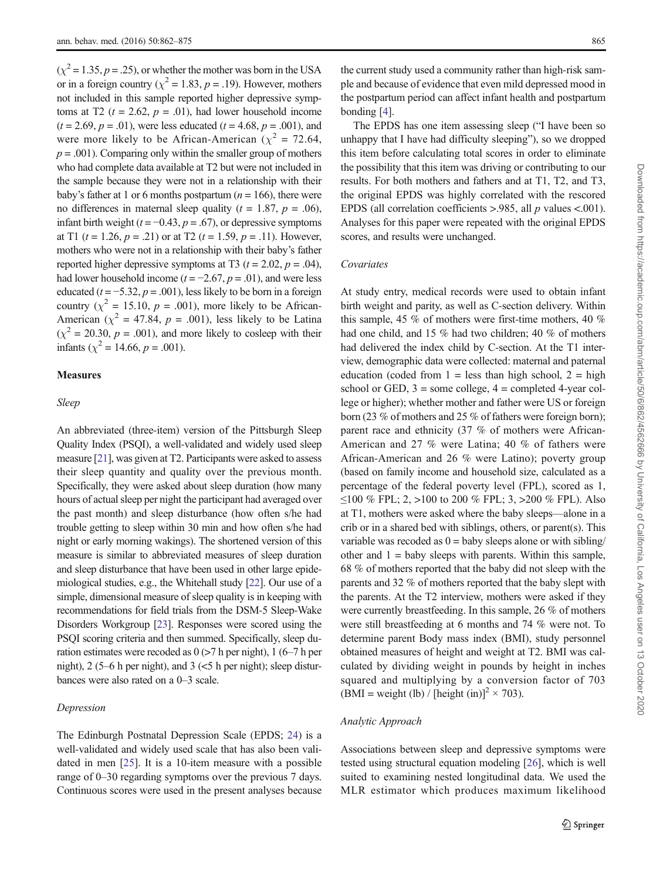$(\chi^2 = 1.35, p = .25)$ , or whether the mother was born in the USA or in a foreign country ( $\chi^2 = 1.83$ ,  $p = .19$ ). However, mothers not included in this sample reported higher depressive symptoms at T2 ( $t = 2.62$ ,  $p = .01$ ), had lower household income  $(t = 2.69, p = .01)$ , were less educated  $(t = 4.68, p = .001)$ , and were more likely to be African-American ( $\chi^2$  = 72.64,  $p = .001$ ). Comparing only within the smaller group of mothers who had complete data available at T2 but were not included in the sample because they were not in a relationship with their baby's father at 1 or 6 months postpartum ( $n = 166$ ), there were no differences in maternal sleep quality ( $t = 1.87$ ,  $p = .06$ ), infant birth weight ( $t = -0.43$ ,  $p = .67$ ), or depressive symptoms at T1 ( $t = 1.26$ ,  $p = .21$ ) or at T2 ( $t = 1.59$ ,  $p = .11$ ). However, mothers who were not in a relationship with their baby's father reported higher depressive symptoms at T3 ( $t = 2.02$ ,  $p = .04$ ), had lower household income ( $t = -2.67$ ,  $p = .01$ ), and were less educated ( $t = -5.32$ ,  $p = .001$ ), less likely to be born in a foreign country ( $\chi^2 = 15.10$ ,  $p = .001$ ), more likely to be African-American ( $\chi^2$  = 47.84, p = .001), less likely to be Latina  $(\chi^2 = 20.30, p = .001)$ , and more likely to cosleep with their infants ( $\chi^2$  = 14.66, *p* = .001).

#### **Measures**

#### Sleep

An abbreviated (three-item) version of the Pittsburgh Sleep Quality Index (PSQI), a well-validated and widely used sleep measure [\[21](#page-12-0)], was given at T2. Participants were asked to assess their sleep quantity and quality over the previous month. Specifically, they were asked about sleep duration (how many hours of actual sleep per night the participant had averaged over the past month) and sleep disturbance (how often s/he had trouble getting to sleep within 30 min and how often s/he had night or early morning wakings). The shortened version of this measure is similar to abbreviated measures of sleep duration and sleep disturbance that have been used in other large epidemiological studies, e.g., the Whitehall study [[22](#page-12-0)]. Our use of a simple, dimensional measure of sleep quality is in keeping with recommendations for field trials from the DSM-5 Sleep-Wake Disorders Workgroup [\[23\]](#page-12-0). Responses were scored using the PSQI scoring criteria and then summed. Specifically, sleep duration estimates were recoded as  $0$  ( $>7$  h per night), 1 ( $6-7$  h per night), 2 (5–6 h per night), and 3 (<5 h per night); sleep disturbances were also rated on a 0–3 scale.

#### Depression

The Edinburgh Postnatal Depression Scale (EPDS; [24\)](#page-12-0) is a well-validated and widely used scale that has also been validated in men [[25\]](#page-12-0). It is a 10-item measure with a possible range of 0–30 regarding symptoms over the previous 7 days. Continuous scores were used in the present analyses because

the current study used a community rather than high-risk sample and because of evidence that even mild depressed mood in the postpartum period can affect infant health and postpartum bonding [[4\]](#page-12-0).

The EPDS has one item assessing sleep ("I have been so unhappy that I have had difficulty sleeping"), so we dropped this item before calculating total scores in order to eliminate the possibility that this item was driving or contributing to our results. For both mothers and fathers and at T1, T2, and T3, the original EPDS was highly correlated with the rescored EPDS (all correlation coefficients >.985, all  $p$  values <.001). Analyses for this paper were repeated with the original EPDS scores, and results were unchanged.

#### Covariates

At study entry, medical records were used to obtain infant birth weight and parity, as well as C-section delivery. Within this sample, 45 % of mothers were first-time mothers, 40 % had one child, and 15 % had two children; 40 % of mothers had delivered the index child by C-section. At the T1 interview, demographic data were collected: maternal and paternal education (coded from  $1 =$  less than high school,  $2 =$  high school or GED,  $3 =$ some college,  $4 =$ completed 4-year college or higher); whether mother and father were US or foreign born (23 % of mothers and 25 % of fathers were foreign born); parent race and ethnicity (37 % of mothers were African-American and 27 % were Latina; 40 % of fathers were African-American and 26 % were Latino); poverty group (based on family income and household size, calculated as a percentage of the federal poverty level (FPL), scored as 1, ≤100 % FPL; 2, >100 to 200 % FPL; 3, >200 % FPL). Also at T1, mothers were asked where the baby sleeps—alone in a crib or in a shared bed with siblings, others, or parent(s). This variable was recoded as  $0 =$  baby sleeps alone or with sibling/ other and  $1 =$  baby sleeps with parents. Within this sample, 68 % of mothers reported that the baby did not sleep with the parents and 32 % of mothers reported that the baby slept with the parents. At the T2 interview, mothers were asked if they were currently breastfeeding. In this sample, 26 % of mothers were still breastfeeding at 6 months and 74 % were not. To determine parent Body mass index (BMI), study personnel obtained measures of height and weight at T2. BMI was calculated by dividing weight in pounds by height in inches squared and multiplying by a conversion factor of 703 (BMI = weight (lb) / [height (in)]<sup>2</sup> × 703).

#### Analytic Approach

Associations between sleep and depressive symptoms were tested using structural equation modeling [\[26](#page-12-0)], which is well suited to examining nested longitudinal data. We used the MLR estimator which produces maximum likelihood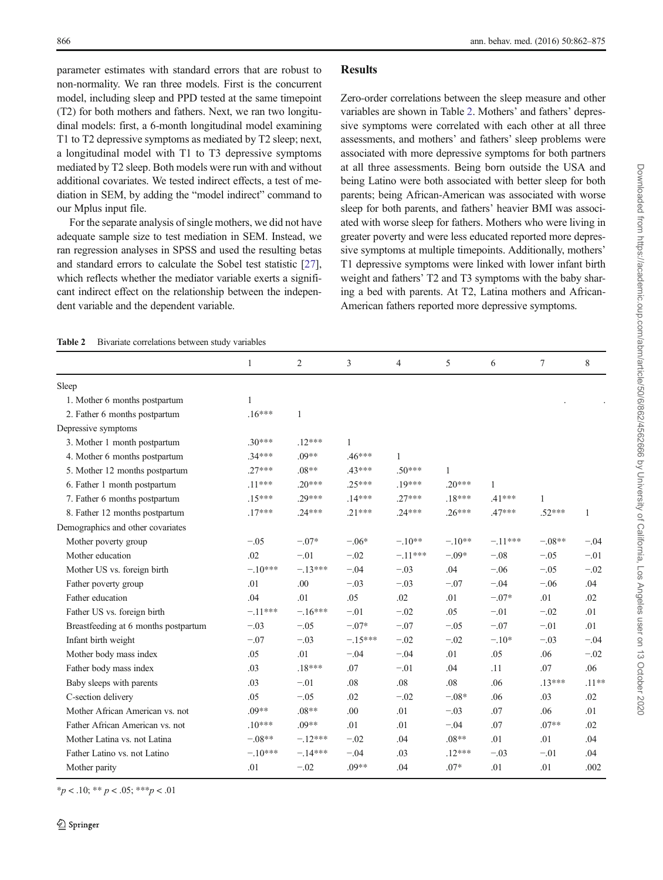parameter estimates with standard errors that are robust to non-normality. We ran three models. First is the concurrent model, including sleep and PPD tested at the same timepoint (T2) for both mothers and fathers. Next, we ran two longitudinal models: first, a 6-month longitudinal model examining T1 to T2 depressive symptoms as mediated by T2 sleep; next, a longitudinal model with T1 to T3 depressive symptoms mediated by T2 sleep. Both models were run with and without additional covariates. We tested indirect effects, a test of mediation in SEM, by adding the "model indirect" command to our Mplus input file.

For the separate analysis of single mothers, we did not have adequate sample size to test mediation in SEM. Instead, we ran regression analyses in SPSS and used the resulting betas and standard errors to calculate the Sobel test statistic [[27\]](#page-12-0), which reflects whether the mediator variable exerts a significant indirect effect on the relationship between the independent variable and the dependent variable.

### Results

Zero-order correlations between the sleep measure and other variables are shown in Table 2. Mothers' and fathers' depressive symptoms were correlated with each other at all three assessments, and mothers' and fathers' sleep problems were associated with more depressive symptoms for both partners at all three assessments. Being born outside the USA and being Latino were both associated with better sleep for both parents; being African-American was associated with worse sleep for both parents, and fathers' heavier BMI was associated with worse sleep for fathers. Mothers who were living in greater poverty and were less educated reported more depressive symptoms at multiple timepoints. Additionally, mothers' T1 depressive symptoms were linked with lower infant birth weight and fathers' T2 and T3 symptoms with the baby sharing a bed with parents. At T2, Latina mothers and African-American fathers reported more depressive symptoms.

Table 2 Bivariate correlations between study variables

|                                      | $\mathbf{1}$ | 2            | $\overline{3}$ | $\overline{4}$ | 5            | 6         | $\tau$       | 8       |
|--------------------------------------|--------------|--------------|----------------|----------------|--------------|-----------|--------------|---------|
| Sleep                                |              |              |                |                |              |           |              |         |
| 1. Mother 6 months postpartum        | $\mathbf{1}$ |              |                |                |              |           |              |         |
| 2. Father 6 months postpartum        | $.16***$     | $\mathbf{1}$ |                |                |              |           |              |         |
| Depressive symptoms                  |              |              |                |                |              |           |              |         |
| 3. Mother 1 month postpartum         | $.30***$     | $.12***$     | 1              |                |              |           |              |         |
| 4. Mother 6 months postpartum        | $.34***$     | $.09**$      | $.46***$       | $\mathbf{1}$   |              |           |              |         |
| 5. Mother 12 months postpartum       | $.27***$     | $.08**$      | $.43***$       | $.50***$       | $\mathbf{1}$ |           |              |         |
| 6. Father 1 month postpartum         | $.11***$     | $.20***$     | $.25***$       | $.19***$       | $.20***$     | 1         |              |         |
| 7. Father 6 months postpartum        | $.15***$     | $.29***$     | $.14***$       | $.27***$       | $.18***$     | $.41***$  | $\mathbf{1}$ |         |
| 8. Father 12 months postpartum       | $.17***$     | $.24***$     | $.21***$       | $.24***$       | $.26***$     | $.47***$  | $.52***$     | 1       |
| Demographics and other covariates    |              |              |                |                |              |           |              |         |
| Mother poverty group                 | $-.05$       | $-.07*$      | $-.06*$        | $-.10**$       | $-.10**$     | $-.11***$ | $-.08**$     | $-.04$  |
| Mother education                     | .02          | $-.01$       | $-.02$         | $-.11***$      | $-.09*$      | $-.08$    | $-.05$       | $-.01$  |
| Mother US vs. foreign birth          | $-.10***$    | $-.13***$    | $-.04$         | $-.03$         | .04          | $-.06$    | $-.05$       | $-.02$  |
| Father poverty group                 | .01          | .00          | $-.03$         | $-.03$         | $-.07$       | $-.04$    | $-.06$       | .04     |
| Father education                     | .04          | .01          | .05            | .02            | .01          | $-.07*$   | .01          | .02     |
| Father US vs. foreign birth          | $-.11***$    | $-.16***$    | $-.01$         | $-.02$         | .05          | $-.01$    | $-.02$       | .01     |
| Breastfeeding at 6 months postpartum | $-.03$       | $-.05$       | $-.07*$        | $-.07$         | $-.05$       | $-.07$    | $-.01$       | .01     |
| Infant birth weight                  | $-.07$       | $-.03$       | $-.15***$      | $-.02$         | $-.02$       | $-.10*$   | $-.03$       | $-.04$  |
| Mother body mass index               | .05          | .01          | $-.04$         | $-.04$         | .01          | .05       | .06          | $-.02$  |
| Father body mass index               | .03          | $.18***$     | .07            | $-.01$         | .04          | .11       | .07          | .06     |
| Baby sleeps with parents             | .03          | $-.01$       | .08            | .08            | .08          | .06       | $.13***$     | $.11**$ |
| C-section delivery                   | .05          | $-.05$       | .02            | $-.02$         | $-.08*$      | .06       | .03          | .02     |
| Mother African American vs. not      | $.09**$      | $.08**$      | .00            | .01            | $-.03$       | .07       | .06          | .01     |
| Father African American vs. not      | $.10***$     | $.09**$      | .01            | .01            | $-.04$       | .07       | $.07**$      | .02     |
| Mother Latina vs. not Latina         | $-.08**$     | $-.12***$    | $-.02$         | .04            | $.08**$      | .01       | .01          | .04     |
| Father Latino vs. not Latino         | $-.10***$    | $-.14***$    | $-.04$         | .03            | $.12***$     | $-.03$    | $-.01$       | .04     |
| Mother parity                        | .01          | $-.02$       | $.09**$        | .04            | $.07*$       | .01       | .01          | .002    |

 $**p* < .10; ** *p* < .05; ** *p* < .01$ 

Downloaded from https://academic.oup.com/abm/article/50/6/862/4562666 by University of California, Los Angeles user on 13 October 2020 Downloaded from https://academic.oup.com/abm/article/50/6/862/4562666 by University of California, Los Angeles user on 13 October 2020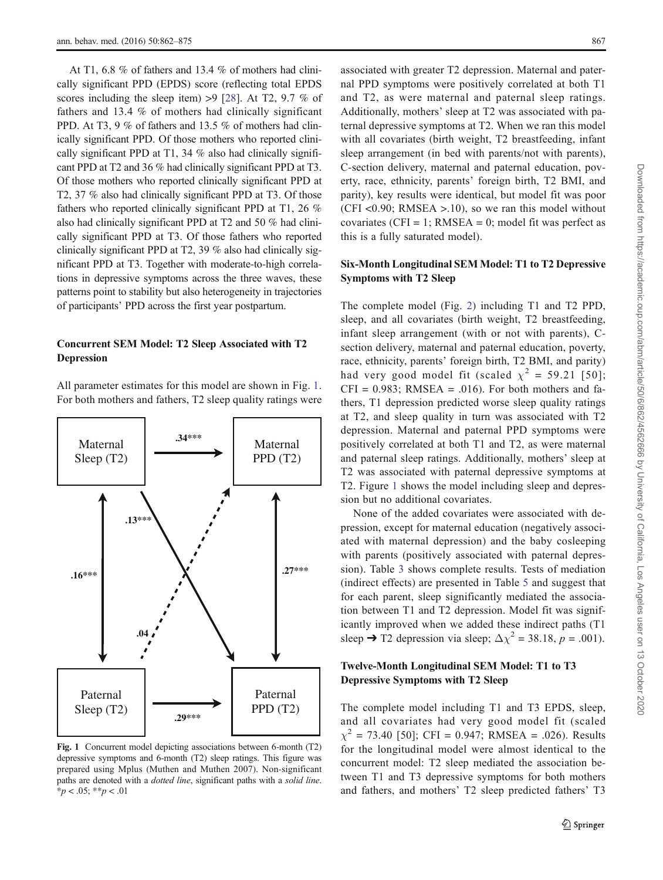At T1, 6.8 % of fathers and 13.4 % of mothers had clinically significant PPD (EPDS) score (reflecting total EPDS scores including the sleep item) >9 [\[28](#page-12-0)]. At T2, 9.7 % of fathers and 13.4 % of mothers had clinically significant PPD. At T3, 9 % of fathers and 13.5 % of mothers had clinically significant PPD. Of those mothers who reported clinically significant PPD at T1, 34 % also had clinically significant PPD at T2 and 36 % had clinically significant PPD at T3. Of those mothers who reported clinically significant PPD at T2, 37 % also had clinically significant PPD at T3. Of those fathers who reported clinically significant PPD at T1, 26 % also had clinically significant PPD at T2 and 50 % had clinically significant PPD at T3. Of those fathers who reported clinically significant PPD at T2, 39 % also had clinically significant PPD at T3. Together with moderate-to-high correlations in depressive symptoms across the three waves, these patterns point to stability but also heterogeneity in trajectories of participants' PPD across the first year postpartum.

### Concurrent SEM Model: T2 Sleep Associated with T2 Depression

All parameter estimates for this model are shown in Fig. 1. For both mothers and fathers, T2 sleep quality ratings were



Fig. 1 Concurrent model depicting associations between 6-month (T2) depressive symptoms and 6-month (T2) sleep ratings. This figure was prepared using Mplus (Muthen and Muthen 2007). Non-significant paths are denoted with a dotted line, significant paths with a solid line.  $*_{p}$  < .05;  $*_{p}$  < .01

associated with greater T2 depression. Maternal and paternal PPD symptoms were positively correlated at both T1 and T2, as were maternal and paternal sleep ratings. Additionally, mothers' sleep at T2 was associated with paternal depressive symptoms at T2. When we ran this model with all covariates (birth weight, T2 breastfeeding, infant sleep arrangement (in bed with parents/not with parents), C-section delivery, maternal and paternal education, poverty, race, ethnicity, parents' foreign birth, T2 BMI, and parity), key results were identical, but model fit was poor  $(CFI < 0.90$ ; RMSEA >.10), so we ran this model without covariates (CFI = 1;  $RMSEA = 0$ ; model fit was perfect as this is a fully saturated model).

## Six-Month Longitudinal SEM Model: T1 to T2 Depressive Symptoms with T2 Sleep

The complete model (Fig. [2\)](#page-6-0) including T1 and T2 PPD, sleep, and all covariates (birth weight, T2 breastfeeding, infant sleep arrangement (with or not with parents), Csection delivery, maternal and paternal education, poverty, race, ethnicity, parents' foreign birth, T2 BMI, and parity) had very good model fit (scaled  $\chi^2 = 59.21$  [50];  $CFI = 0.983$ ; RMSEA = .016). For both mothers and fathers, T1 depression predicted worse sleep quality ratings at T2, and sleep quality in turn was associated with T2 depression. Maternal and paternal PPD symptoms were positively correlated at both T1 and T2, as were maternal and paternal sleep ratings. Additionally, mothers' sleep at T2 was associated with paternal depressive symptoms at T2. Figure 1 shows the model including sleep and depression but no additional covariates.

None of the added covariates were associated with depression, except for maternal education (negatively associated with maternal depression) and the baby cosleeping with parents (positively associated with paternal depression). Table [3](#page-7-0) shows complete results. Tests of mediation (indirect effects) are presented in Table [5](#page-9-0) and suggest that for each parent, sleep significantly mediated the association between T1 and T2 depression. Model fit was significantly improved when we added these indirect paths (T1 sleep  $\rightarrow$  T2 depression via sleep;  $\Delta \chi^2$  = 38.18, p = .001).

## Twelve-Month Longitudinal SEM Model: T1 to T3 Depressive Symptoms with T2 Sleep

The complete model including T1 and T3 EPDS, sleep, and all covariates had very good model fit (scaled  $\chi^2$  = 73.40 [50]; CFI = 0.947; RMSEA = .026). Results for the longitudinal model were almost identical to the concurrent model: T2 sleep mediated the association between T1 and T3 depressive symptoms for both mothers and fathers, and mothers' T2 sleep predicted fathers' T3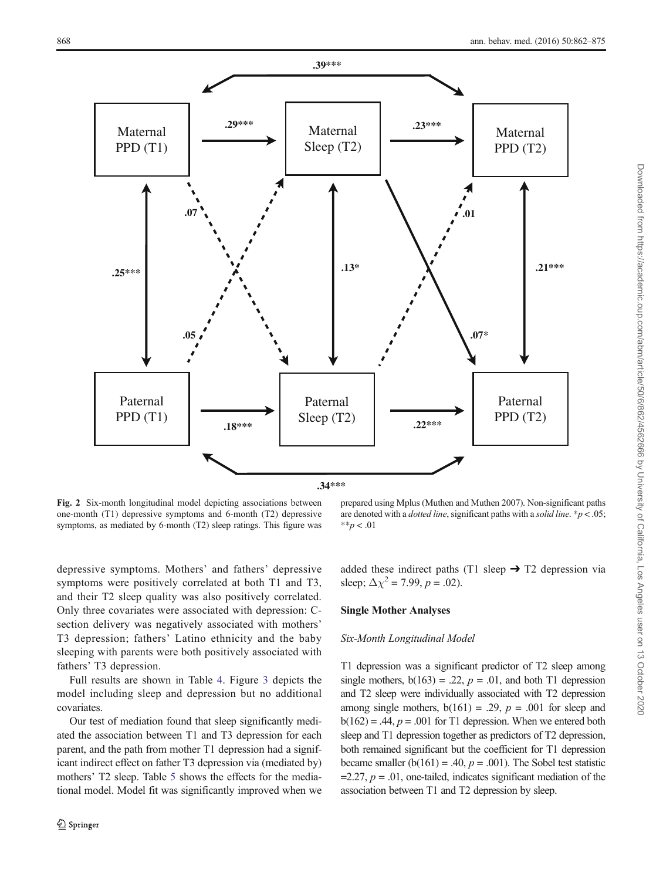<span id="page-6-0"></span>

Fig. 2 Six-month longitudinal model depicting associations between one-month (T1) depressive symptoms and 6-month (T2) depressive symptoms, as mediated by 6-month (T2) sleep ratings. This figure was

prepared using Mplus (Muthen and Muthen 2007). Non-significant paths are denoted with a *dotted line*, significant paths with a *solid line*. \* $p < .05$ ;  $*$  $p < .01$ 

depressive symptoms. Mothers' and fathers' depressive symptoms were positively correlated at both T1 and T3, and their T2 sleep quality was also positively correlated. Only three covariates were associated with depression: Csection delivery was negatively associated with mothers' T3 depression; fathers' Latino ethnicity and the baby sleeping with parents were both positively associated with fathers' T3 depression.

Full results are shown in Table [4](#page-8-0). Figure [3](#page-9-0) depicts the model including sleep and depression but no additional covariates.

Our test of mediation found that sleep significantly mediated the association between T1 and T3 depression for each parent, and the path from mother T1 depression had a significant indirect effect on father T3 depression via (mediated by) mothers' T2 sleep. Table [5](#page-9-0) shows the effects for the mediational model. Model fit was significantly improved when we

added these indirect paths (T1 sleep  $\rightarrow$  T2 depression via

Single Mother Analyses

sleep;  $\Delta \chi^2 = 7.99$ ,  $p = .02$ ).

#### Six-Month Longitudinal Model

T1 depression was a significant predictor of T2 sleep among single mothers,  $b(163) = .22$ ,  $p = .01$ , and both T1 depression and T2 sleep were individually associated with T2 depression among single mothers,  $b(161) = .29$ ,  $p = .001$  for sleep and  $b(162) = .44$ ,  $p = .001$  for T1 depression. When we entered both sleep and T1 depression together as predictors of T2 depression, both remained significant but the coefficient for T1 depression became smaller  $(b(161) = .40, p = .001)$ . The Sobel test statistic  $=2.27, p = .01$ , one-tailed, indicates significant mediation of the association between T1 and T2 depression by sleep.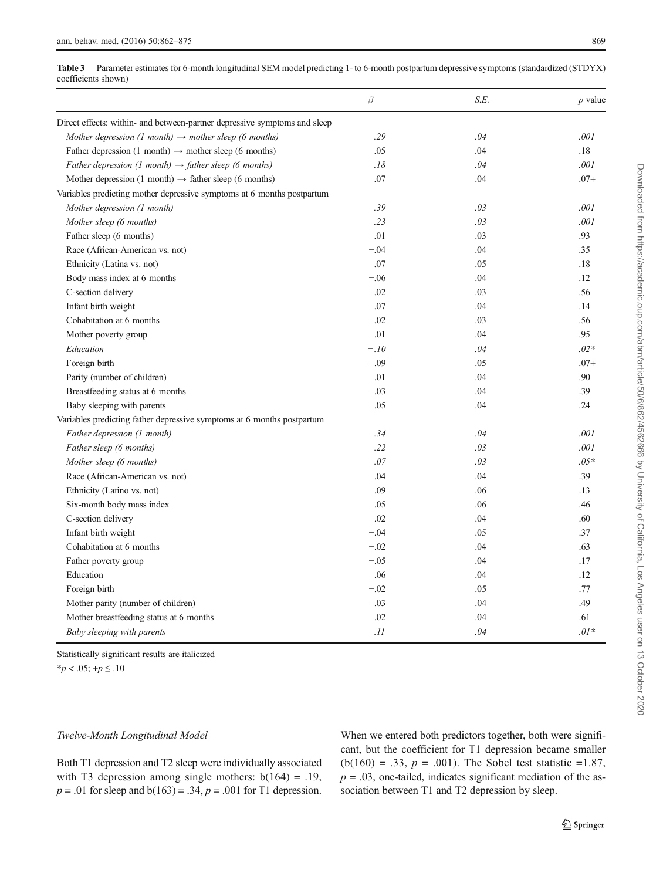<span id="page-7-0"></span>

| Table 3 Parameter estimates for 6-month longitudinal SEM model predicting 1- to 6-month postpartum depressive symptoms (standardized (STDYX) |
|----------------------------------------------------------------------------------------------------------------------------------------------|
| coefficients shown)                                                                                                                          |

|                                                                           | $\beta$ | S.E. | $p$ value |
|---------------------------------------------------------------------------|---------|------|-----------|
| Direct effects: within- and between-partner depressive symptoms and sleep |         |      |           |
| Mother depression (1 month) $\rightarrow$ mother sleep (6 months)         | .29     | .04  | .001      |
| Father depression (1 month) $\rightarrow$ mother sleep (6 months)         | .05     | .04  | .18       |
| Father depression (1 month) $\rightarrow$ father sleep (6 months)         | .18     | .04  | .001      |
| Mother depression (1 month) $\rightarrow$ father sleep (6 months)         | .07     | .04  | $.07+$    |
| Variables predicting mother depressive symptoms at 6 months postpartum    |         |      |           |
| Mother depression (1 month)                                               | .39     | .03  | .001      |
| Mother sleep (6 months)                                                   | .23     | .03  | .001      |
| Father sleep (6 months)                                                   | .01     | .03  | .93       |
| Race (African-American vs. not)                                           | $-.04$  | .04  | .35       |
| Ethnicity (Latina vs. not)                                                | .07     | .05  | .18       |
| Body mass index at 6 months                                               | $-.06$  | .04  | .12       |
| C-section delivery                                                        | .02     | .03  | .56       |
| Infant birth weight                                                       | $-.07$  | .04  | .14       |
| Cohabitation at 6 months                                                  | $-.02$  | .03  | .56       |
| Mother poverty group                                                      | $-.01$  | .04  | .95       |
| Education                                                                 | $-.10$  | .04  | $.02*$    |
| Foreign birth                                                             | $-.09$  | .05  | $.07+$    |
| Parity (number of children)                                               | .01     | .04  | .90       |
| Breastfeeding status at 6 months                                          | $-.03$  | .04  | .39       |
| Baby sleeping with parents                                                | .05     | .04  | .24       |
| Variables predicting father depressive symptoms at 6 months postpartum    |         |      |           |
| Father depression (1 month)                                               | .34     | .04  | .001      |
| Father sleep (6 months)                                                   | .22     | .03  | .001      |
| Mother sleep (6 months)                                                   | .07     | .03  | $.05*$    |
| Race (African-American vs. not)                                           | .04     | .04  | .39       |
| Ethnicity (Latino vs. not)                                                | .09     | .06  | .13       |
| Six-month body mass index                                                 | .05     | .06  | .46       |
| C-section delivery                                                        | .02     | .04  | .60       |
| Infant birth weight                                                       | $-.04$  | .05  | .37       |
| Cohabitation at 6 months                                                  | $-.02$  | .04  | .63       |
| Father poverty group                                                      | $-.05$  | .04  | .17       |
| Education                                                                 | .06     | .04  | .12       |
| Foreign birth                                                             | $-.02$  | .05  | .77       |
| Mother parity (number of children)                                        | $-.03$  | .04  | .49       |
| Mother breastfeeding status at 6 months                                   | .02     | .04  | .61       |
| Baby sleeping with parents                                                | .11     | .04  | $.01*$    |

Statistically significant results are italicized

 $**p* < .05; +*p* \le .10$ 

#### Twelve-Month Longitudinal Model

Both T1 depression and T2 sleep were individually associated with T3 depression among single mothers:  $b(164) = .19$ ,  $p = .01$  for sleep and  $b(163) = .34$ ,  $p = .001$  for T1 depression.

When we entered both predictors together, both were significant, but the coefficient for T1 depression became smaller (b(160) = .33,  $p = .001$ ). The Sobel test statistic =1.87,  $p = .03$ , one-tailed, indicates significant mediation of the association between T1 and T2 depression by sleep.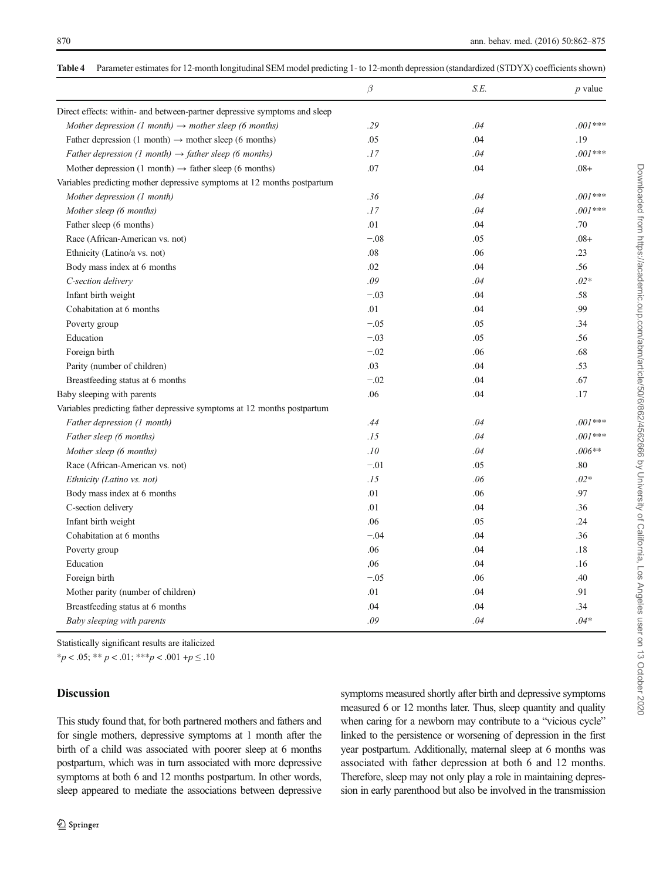|                                                                           | $\beta$ | S.E. | $p$ value |
|---------------------------------------------------------------------------|---------|------|-----------|
| Direct effects: within- and between-partner depressive symptoms and sleep |         |      |           |
| Mother depression (1 month) $\rightarrow$ mother sleep (6 months)         | .29     | .04  | $.001***$ |
| Father depression (1 month) $\rightarrow$ mother sleep (6 months)         | .05     | .04  | .19       |
| Father depression (1 month) $\rightarrow$ father sleep (6 months)         | .17     | .04  | $.001***$ |
| Mother depression (1 month) $\rightarrow$ father sleep (6 months)         | .07     | .04  | $.08+$    |
| Variables predicting mother depressive symptoms at 12 months postpartum   |         |      |           |
| Mother depression (1 month)                                               | .36     | .04  | $.001***$ |
| Mother sleep (6 months)                                                   | .17     | .04  | $.001***$ |
| Father sleep (6 months)                                                   | .01     | .04  | .70       |
| Race (African-American vs. not)                                           | $-.08$  | .05  | $.08+$    |
| Ethnicity (Latino/a vs. not)                                              | .08     | .06  | .23       |
| Body mass index at 6 months                                               | .02     | .04  | .56       |
| C-section delivery                                                        | .09     | .04  | $.02*$    |
| Infant birth weight                                                       | $-.03$  | .04  | .58       |
| Cohabitation at 6 months                                                  | .01     | .04  | .99       |
| Poverty group                                                             | $-.05$  | .05  | .34       |
| Education                                                                 | $-.03$  | .05  | .56       |
| Foreign birth                                                             | $-.02$  | .06  | .68       |
| Parity (number of children)                                               | .03     | .04  | .53       |
| Breastfeeding status at 6 months                                          | $-.02$  | .04  | .67       |
| Baby sleeping with parents                                                | .06     | .04  | .17       |
| Variables predicting father depressive symptoms at 12 months postpartum   |         |      |           |
| Father depression (1 month)                                               | .44     | .04  | $.001***$ |
| Father sleep (6 months)                                                   | .15     | .04  | $.001***$ |
| Mother sleep (6 months)                                                   | .10     | .04  | $.006**$  |
| Race (African-American vs. not)                                           | $-.01$  | .05  | .80       |
| Ethnicity (Latino vs. not)                                                | .15     | .06  | $.02*$    |
| Body mass index at 6 months                                               | .01     | .06  | .97       |
| C-section delivery                                                        | .01     | .04  | .36       |
| Infant birth weight                                                       | .06     | .05  | .24       |
| Cohabitation at 6 months                                                  | $-.04$  | .04  | .36       |
| Poverty group                                                             | .06     | .04  | .18       |
| Education                                                                 | ,06     | .04  | .16       |
| Foreign birth                                                             | $-.05$  | .06  | .40       |
| Mother parity (number of children)                                        | .01     | .04  | .91       |
| Breastfeeding status at 6 months                                          | .04     | .04  | .34       |
| Baby sleeping with parents                                                | .09     | .04  | $.04*$    |

<span id="page-8-0"></span>Table 4 Parameter estimates for 12-month longitudinal SEM model predicting 1- to 12-month depression (standardized (STDYX) coefficients shown)

Statistically significant results are italicized

 $**p* < .05; ** *p* < .01; ** *p* < .001 + *p* \le .10$ 

# Discussion

This study found that, for both partnered mothers and fathers and for single mothers, depressive symptoms at 1 month after the birth of a child was associated with poorer sleep at 6 months postpartum, which was in turn associated with more depressive symptoms at both 6 and 12 months postpartum. In other words, sleep appeared to mediate the associations between depressive symptoms measured shortly after birth and depressive symptoms measured 6 or 12 months later. Thus, sleep quantity and quality when caring for a newborn may contribute to a "vicious cycle" linked to the persistence or worsening of depression in the first year postpartum. Additionally, maternal sleep at 6 months was associated with father depression at both 6 and 12 months. Therefore, sleep may not only play a role in maintaining depression in early parenthood but also be involved in the transmission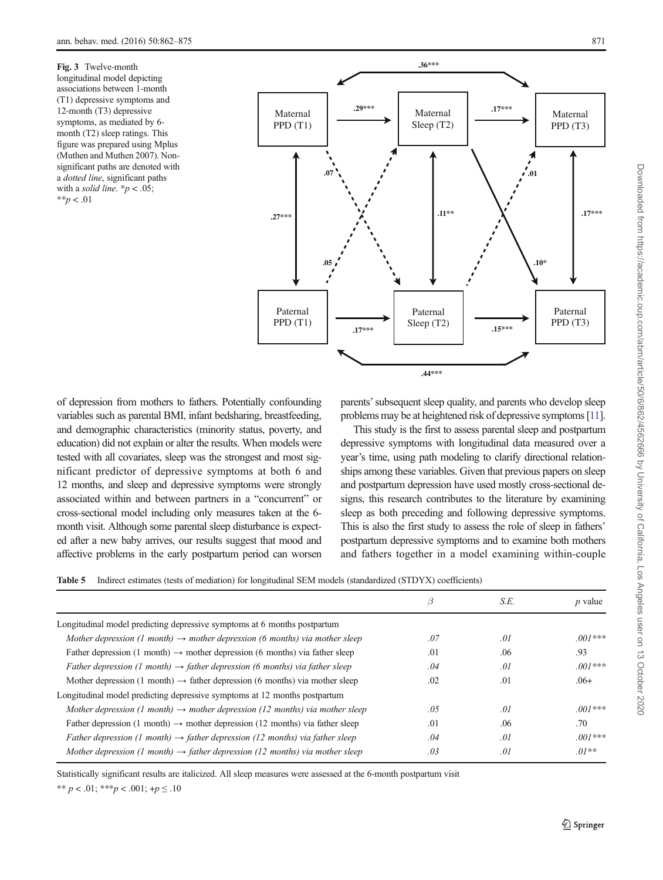<span id="page-9-0"></span>Fig. 3 Twelve-month longitudinal model depicting associations between 1-month (T1) depressive symptoms and 12-month (T3) depressive symptoms, as mediated by 6 month (T2) sleep ratings. This figure was prepared using Mplus (Muthen and Muthen 2007). Nonsignificant paths are denoted with a dotted line, significant paths with a *solid line*.  $* p < .05$ ;  $* p < .01$ 



of depression from mothers to fathers. Potentially confounding variables such as parental BMI, infant bedsharing, breastfeeding, and demographic characteristics (minority status, poverty, and education) did not explain or alter the results. When models were tested with all covariates, sleep was the strongest and most significant predictor of depressive symptoms at both 6 and 12 months, and sleep and depressive symptoms were strongly associated within and between partners in a "concurrent" or cross-sectional model including only measures taken at the 6 month visit. Although some parental sleep disturbance is expected after a new baby arrives, our results suggest that mood and affective problems in the early postpartum period can worsen parents' subsequent sleep quality, and parents who develop sleep problems may be at heightened risk of depressive symptoms [\[11\]](#page-12-0).

This study is the first to assess parental sleep and postpartum depressive symptoms with longitudinal data measured over a year's time, using path modeling to clarify directional relationships among these variables. Given that previous papers on sleep and postpartum depression have used mostly cross-sectional designs, this research contributes to the literature by examining sleep as both preceding and following depressive symptoms. This is also the first study to assess the role of sleep in fathers' postpartum depressive symptoms and to examine both mothers and fathers together in a model examining within-couple

| Table 5 Indirect estimates (tests of mediation) for longitudinal SEM models (standardized (STDYX) coefficients) |  |
|-----------------------------------------------------------------------------------------------------------------|--|
|-----------------------------------------------------------------------------------------------------------------|--|

|                                                                                          |     | S.E. | $p$ value |
|------------------------------------------------------------------------------------------|-----|------|-----------|
| Longitudinal model predicting depressive symptoms at 6 months postpartum                 |     |      |           |
| Mother depression (1 month) $\rightarrow$ mother depression (6 months) via mother sleep  | .07 | .01  | $001***$  |
| Father depression (1 month) $\rightarrow$ mother depression (6 months) via father sleep  | .01 | .06  | .93       |
| Father depression (1 month) $\rightarrow$ father depression (6 months) via father sleep  | .04 | .01  | $.001***$ |
| Mother depression (1 month) $\rightarrow$ father depression (6 months) via mother sleep  | .02 | .01  | $.06+$    |
| Longitudinal model predicting depressive symptoms at 12 months postpartum                |     |      |           |
| Mother depression (1 month) $\rightarrow$ mother depression (12 months) via mother sleep | .05 | .01  | $001***$  |
| Father depression (1 month) $\rightarrow$ mother depression (12 months) via father sleep | .01 | .06  | .70       |
| Father depression (1 month) $\rightarrow$ father depression (12 months) via father sleep | .04 | .01  | $.001***$ |
| Mother depression (1 month) $\rightarrow$ father depression (12 months) via mother sleep | .03 | .01  | $.01**$   |
|                                                                                          |     |      |           |

Statistically significant results are italicized. All sleep measures were assessed at the 6-month postpartum visit

\*\*  $p < .01$ ; \*\*\* $p < .001$ ; + $p \le .10$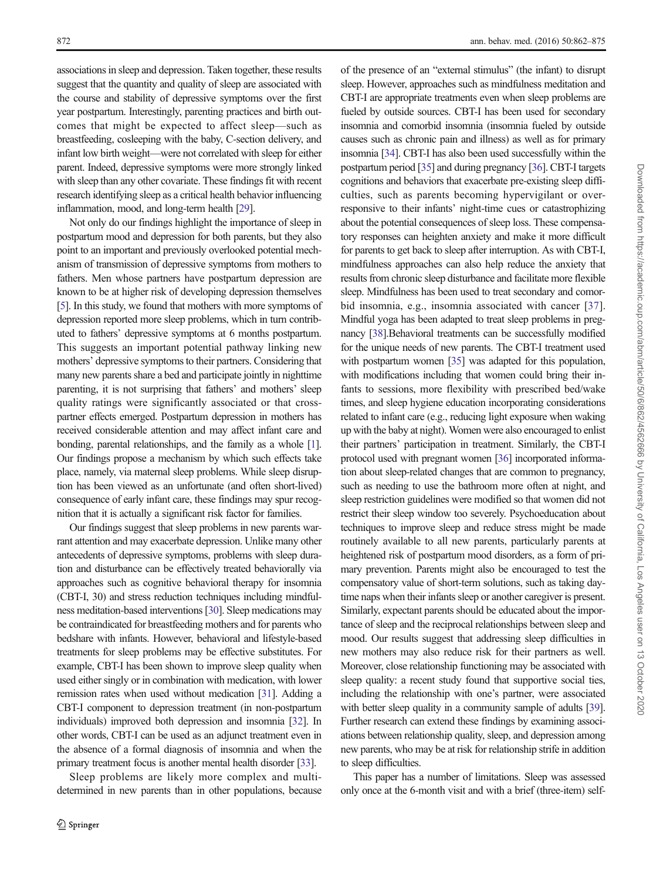associations in sleep and depression. Taken together, these results suggest that the quantity and quality of sleep are associated with the course and stability of depressive symptoms over the first year postpartum. Interestingly, parenting practices and birth outcomes that might be expected to affect sleep—such as breastfeeding, cosleeping with the baby, C-section delivery, and infant low birth weight—were not correlated with sleep for either parent. Indeed, depressive symptoms were more strongly linked with sleep than any other covariate. These findings fit with recent research identifying sleep as a critical health behavior influencing inflammation, mood, and long-term health [\[29](#page-12-0)].

Not only do our findings highlight the importance of sleep in postpartum mood and depression for both parents, but they also point to an important and previously overlooked potential mechanism of transmission of depressive symptoms from mothers to fathers. Men whose partners have postpartum depression are known to be at higher risk of developing depression themselves [\[5\]](#page-12-0). In this study, we found that mothers with more symptoms of depression reported more sleep problems, which in turn contributed to fathers' depressive symptoms at 6 months postpartum. This suggests an important potential pathway linking new mothers' depressive symptoms to their partners. Considering that many new parents share a bed and participate jointly in nighttime parenting, it is not surprising that fathers' and mothers' sleep quality ratings were significantly associated or that crosspartner effects emerged. Postpartum depression in mothers has received considerable attention and may affect infant care and bonding, parental relationships, and the family as a whole [\[1\]](#page-12-0). Our findings propose a mechanism by which such effects take place, namely, via maternal sleep problems. While sleep disruption has been viewed as an unfortunate (and often short-lived) consequence of early infant care, these findings may spur recognition that it is actually a significant risk factor for families.

Our findings suggest that sleep problems in new parents warrant attention and may exacerbate depression. Unlike many other antecedents of depressive symptoms, problems with sleep duration and disturbance can be effectively treated behaviorally via approaches such as cognitive behavioral therapy for insomnia (CBT-I, 30) and stress reduction techniques including mindfulness meditation-based interventions [\[30](#page-12-0)]. Sleep medications may be contraindicated for breastfeeding mothers and for parents who bedshare with infants. However, behavioral and lifestyle-based treatments for sleep problems may be effective substitutes. For example, CBT-I has been shown to improve sleep quality when used either singly or in combination with medication, with lower remission rates when used without medication [\[31](#page-12-0)]. Adding a CBT-I component to depression treatment (in non-postpartum individuals) improved both depression and insomnia [[32](#page-12-0)]. In other words, CBT-I can be used as an adjunct treatment even in the absence of a formal diagnosis of insomnia and when the primary treatment focus is another mental health disorder [\[33](#page-12-0)].

Sleep problems are likely more complex and multidetermined in new parents than in other populations, because of the presence of an "external stimulus" (the infant) to disrupt sleep. However, approaches such as mindfulness meditation and CBT-I are appropriate treatments even when sleep problems are fueled by outside sources. CBT-I has been used for secondary insomnia and comorbid insomnia (insomnia fueled by outside causes such as chronic pain and illness) as well as for primary insomnia [\[34\]](#page-12-0). CBT-I has also been used successfully within the postpartum period [\[35\]](#page-12-0) and during pregnancy [\[36](#page-12-0)]. CBT-I targets cognitions and behaviors that exacerbate pre-existing sleep difficulties, such as parents becoming hypervigilant or overresponsive to their infants' night-time cues or catastrophizing about the potential consequences of sleep loss. These compensatory responses can heighten anxiety and make it more difficult for parents to get back to sleep after interruption. As with CBT-I, mindfulness approaches can also help reduce the anxiety that results from chronic sleep disturbance and facilitate more flexible sleep. Mindfulness has been used to treat secondary and comorbid insomnia, e.g., insomnia associated with cancer [\[37](#page-12-0)]. Mindful yoga has been adapted to treat sleep problems in pregnancy [[38](#page-13-0)].Behavioral treatments can be successfully modified for the unique needs of new parents. The CBT-I treatment used with postpartum women [\[35\]](#page-12-0) was adapted for this population, with modifications including that women could bring their infants to sessions, more flexibility with prescribed bed/wake times, and sleep hygiene education incorporating considerations related to infant care (e.g., reducing light exposure when waking up with the baby at night). Women were also encouraged to enlist their partners' participation in treatment. Similarly, the CBT-I protocol used with pregnant women [\[36\]](#page-12-0) incorporated information about sleep-related changes that are common to pregnancy, such as needing to use the bathroom more often at night, and sleep restriction guidelines were modified so that women did not restrict their sleep window too severely. Psychoeducation about techniques to improve sleep and reduce stress might be made routinely available to all new parents, particularly parents at heightened risk of postpartum mood disorders, as a form of primary prevention. Parents might also be encouraged to test the compensatory value of short-term solutions, such as taking daytime naps when their infants sleep or another caregiver is present. Similarly, expectant parents should be educated about the importance of sleep and the reciprocal relationships between sleep and mood. Our results suggest that addressing sleep difficulties in new mothers may also reduce risk for their partners as well. Moreover, close relationship functioning may be associated with sleep quality: a recent study found that supportive social ties, including the relationship with one's partner, were associated with better sleep quality in a community sample of adults [\[39\]](#page-13-0). Further research can extend these findings by examining associations between relationship quality, sleep, and depression among new parents, who may be at risk for relationship strife in addition to sleep difficulties.

This paper has a number of limitations. Sleep was assessed only once at the 6-month visit and with a brief (three-item) self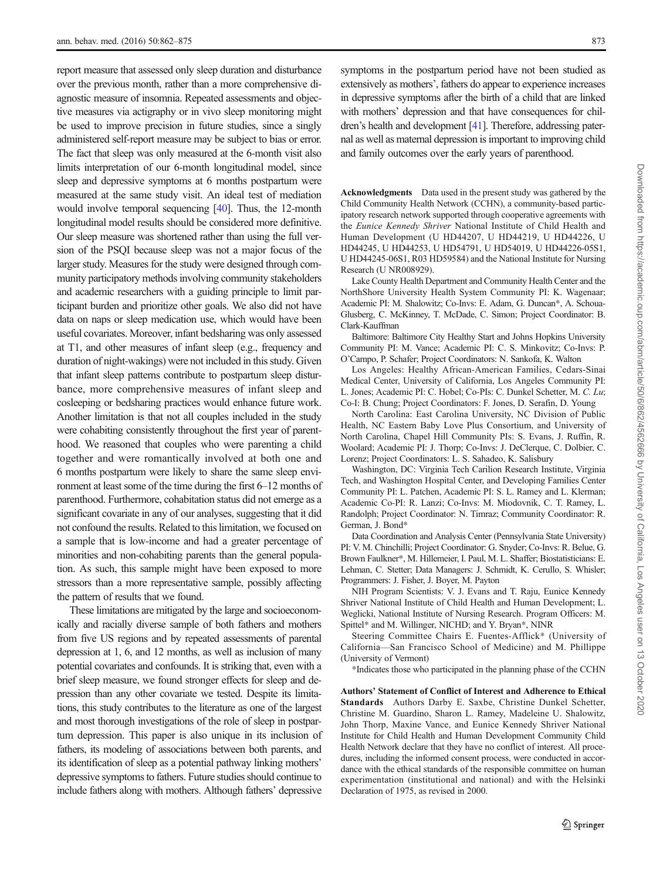report measure that assessed only sleep duration and disturbance over the previous month, rather than a more comprehensive diagnostic measure of insomnia. Repeated assessments and objective measures via actigraphy or in vivo sleep monitoring might be used to improve precision in future studies, since a singly administered self-report measure may be subject to bias or error. The fact that sleep was only measured at the 6-month visit also limits interpretation of our 6-month longitudinal model, since sleep and depressive symptoms at 6 months postpartum were measured at the same study visit. An ideal test of mediation would involve temporal sequencing [[40](#page-13-0)]. Thus, the 12-month longitudinal model results should be considered more definitive. Our sleep measure was shortened rather than using the full version of the PSQI because sleep was not a major focus of the larger study. Measures for the study were designed through community participatory methods involving community stakeholders and academic researchers with a guiding principle to limit participant burden and prioritize other goals. We also did not have data on naps or sleep medication use, which would have been useful covariates. Moreover, infant bedsharing was only assessed at T1, and other measures of infant sleep (e.g., frequency and duration of night-wakings) were not included in this study. Given that infant sleep patterns contribute to postpartum sleep disturbance, more comprehensive measures of infant sleep and cosleeping or bedsharing practices would enhance future work. Another limitation is that not all couples included in the study were cohabiting consistently throughout the first year of parenthood. We reasoned that couples who were parenting a child together and were romantically involved at both one and 6 months postpartum were likely to share the same sleep environment at least some of the time during the first 6–12 months of parenthood. Furthermore, cohabitation status did not emerge as a significant covariate in any of our analyses, suggesting that it did not confound the results. Related to this limitation, we focused on a sample that is low-income and had a greater percentage of minorities and non-cohabiting parents than the general population. As such, this sample might have been exposed to more stressors than a more representative sample, possibly affecting the pattern of results that we found.

These limitations are mitigated by the large and socioeconomically and racially diverse sample of both fathers and mothers from five US regions and by repeated assessments of parental depression at 1, 6, and 12 months, as well as inclusion of many potential covariates and confounds. It is striking that, even with a brief sleep measure, we found stronger effects for sleep and depression than any other covariate we tested. Despite its limitations, this study contributes to the literature as one of the largest and most thorough investigations of the role of sleep in postpartum depression. This paper is also unique in its inclusion of fathers, its modeling of associations between both parents, and its identification of sleep as a potential pathway linking mothers' depressive symptoms to fathers. Future studies should continue to include fathers along with mothers. Although fathers' depressive

symptoms in the postpartum period have not been studied as extensively as mothers', fathers do appear to experience increases in depressive symptoms after the birth of a child that are linked with mothers' depression and that have consequences for children's health and development [\[41\]](#page-13-0). Therefore, addressing paternal as well as maternal depression is important to improving child and family outcomes over the early years of parenthood.

Acknowledgments Data used in the present study was gathered by the Child Community Health Network (CCHN), a community-based participatory research network supported through cooperative agreements with the Eunice Kennedy Shriver National Institute of Child Health and Human Development (U HD44207, U HD44219, U HD44226, U HD44245, U HD44253, U HD54791, U HD54019, U HD44226-05S1, U HD44245-06S1, R03 HD59584) and the National Institute for Nursing Research (U NR008929).

Lake County Health Department and Community Health Center and the NorthShore University Health System Community PI: K. Wagenaar; Academic PI: M. Shalowitz; Co-Invs: E. Adam, G. Duncan\*, A. Schoua-Glusberg, C. McKinney, T. McDade, C. Simon; Project Coordinator: B. Clark-Kauffman

Baltimore: Baltimore City Healthy Start and Johns Hopkins University Community PI: M. Vance; Academic PI: C. S. Minkovitz; Co-Invs: P. O'Campo, P. Schafer; Project Coordinators: N. Sankofa, K. Walton

Los Angeles: Healthy African-American Families, Cedars-Sinai Medical Center, University of California, Los Angeles Community PI: L. Jones; Academic PI: C. Hobel; Co-PIs: C. Dunkel Schetter, M. C. Lu; Co-I: B. Chung; Project Coordinators: F. Jones, D. Serafin, D. Young

North Carolina: East Carolina University, NC Division of Public Health, NC Eastern Baby Love Plus Consortium, and University of North Carolina, Chapel Hill Community PIs: S. Evans, J. Ruffin, R. Woolard; Academic PI: J. Thorp; Co-Invs: J. DeClerque, C. Dolbier, C. Lorenz; Project Coordinators: L. S. Sahadeo, K. Salisbury

Washington, DC: Virginia Tech Carilion Research Institute, Virginia Tech, and Washington Hospital Center, and Developing Families Center Community PI: L. Patchen, Academic PI: S. L. Ramey and L. Klerman; Academic Co-PI: R. Lanzi; Co-Invs: M. Miodovnik, C. T. Ramey, L. Randolph; Project Coordinator: N. Timraz; Community Coordinator: R. German, J. Bond\*

Data Coordination and Analysis Center (Pennsylvania State University) PI: V. M. Chinchilli; Project Coordinator: G. Snyder; Co-Invs: R. Belue, G. Brown Faulkner\*, M. Hillemeier, I. Paul, M. L. Shaffer; Biostatisticians: E. Lehman, C. Stetter; Data Managers: J. Schmidt, K. Cerullo, S. Whisler; Programmers: J. Fisher, J. Boyer, M. Payton

NIH Program Scientists: V. J. Evans and T. Raju, Eunice Kennedy Shriver National Institute of Child Health and Human Development; L. Weglicki, National Institute of Nursing Research. Program Officers: M. Spittel\* and M. Willinger, NICHD; and Y. Bryan\*, NINR

Steering Committee Chairs E. Fuentes-Afflick\* (University of California—San Francisco School of Medicine) and M. Phillippe (University of Vermont)

\*Indicates those who participated in the planning phase of the CCHN

Authors' Statement of Conflict of Interest and Adherence to Ethical Standards Authors Darby E. Saxbe, Christine Dunkel Schetter, Christine M. Guardino, Sharon L. Ramey, Madeleine U. Shalowitz, John Thorp, Maxine Vance, and Eunice Kennedy Shriver National Institute for Child Health and Human Development Community Child Health Network declare that they have no conflict of interest. All procedures, including the informed consent process, were conducted in accordance with the ethical standards of the responsible committee on human experimentation (institutional and national) and with the Helsinki Declaration of 1975, as revised in 2000.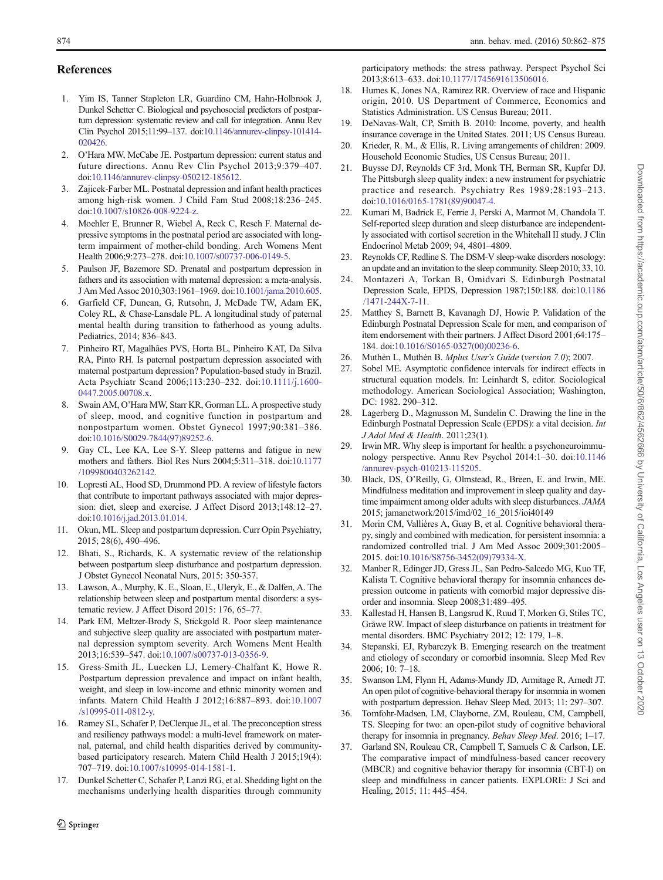# <span id="page-12-0"></span>References

- 1. Yim IS, Tanner Stapleton LR, Guardino CM, Hahn-Holbrook J, Dunkel Schetter C. Biological and psychosocial predictors of postpartum depression: systematic review and call for integration. Annu Rev Clin Psychol 2015;11:99–137. doi[:10.1146/annurev-clinpsy-101414-](http://dx.doi.org/10.1146/annurev-clinpsy-101414-020426) [020426](http://dx.doi.org/10.1146/annurev-clinpsy-101414-020426).
- 2. O'Hara MW, McCabe JE. Postpartum depression: current status and future directions. Annu Rev Clin Psychol 2013;9:379–407. doi[:10.1146/annurev-clinpsy-050212-185612](http://dx.doi.org/10.1146/annurev-clinpsy-050212-185612).
- 3. Zajicek-Farber ML. Postnatal depression and infant health practices among high-risk women. J Child Fam Stud 2008;18:236–245. doi:[10.1007/s10826-008-9224-z](http://dx.doi.org/10.1007/s10826-008-9224-z).
- 4. Moehler E, Brunner R, Wiebel A, Reck C, Resch F. Maternal depressive symptoms in the postnatal period are associated with longterm impairment of mother-child bonding. Arch Womens Ment Health 2006;9:273–278. doi[:10.1007/s00737-006-0149-5](http://dx.doi.org/10.1007/s00737-006-0149-5).
- 5. Paulson JF, Bazemore SD. Prenatal and postpartum depression in fathers and its association with maternal depression: a meta-analysis. J Am Med Assoc 2010;303:1961–1969. doi[:10.1001/jama.2010.605](http://dx.doi.org/10.1001/jama.2010.605).
- 6. Garfield CF, Duncan, G, Rutsohn, J, McDade TW, Adam EK, Coley RL, & Chase-Lansdale PL. A longitudinal study of paternal mental health during transition to fatherhood as young adults. Pediatrics, 2014; 836–843.
- 7. Pinheiro RT, Magalhães PVS, Horta BL, Pinheiro KAT, Da Silva RA, Pinto RH. Is paternal postpartum depression associated with maternal postpartum depression? Population-based study in Brazil. Acta Psychiatr Scand 2006;113:230–232. doi[:10.1111/j.1600-](http://dx.doi.org/10.1111/j.1600-0447.2005.00708.x) [0447.2005.00708.x](http://dx.doi.org/10.1111/j.1600-0447.2005.00708.x).
- 8. Swain AM, O'Hara MW, Starr KR, Gorman LL. A prospective study of sleep, mood, and cognitive function in postpartum and nonpostpartum women. Obstet Gynecol 1997;90:381–386. doi[:10.1016/S0029-7844\(97\)89252-6.](http://dx.doi.org/10.1016/S0029-7844(97)89252-6)
- 9. Gay CL, Lee KA, Lee S-Y. Sleep patterns and fatigue in new mothers and fathers. Biol Res Nurs 2004;5:311–318. doi[:10.1177](http://dx.doi.org/10.1177/1099800403262142) [/1099800403262142.](http://dx.doi.org/10.1177/1099800403262142)
- 10. Lopresti AL, Hood SD, Drummond PD. A review of lifestyle factors that contribute to important pathways associated with major depression: diet, sleep and exercise. J Affect Disord 2013;148:12–27. doi[:10.1016/j.jad.2013.01.014](http://dx.doi.org/10.1016/j.jad.2013.01.014).
- 11. Okun, ML. Sleep and postpartum depression. Curr Opin Psychiatry, 2015; 28(6), 490–496.
- 12. Bhati, S., Richards, K. A systematic review of the relationship between postpartum sleep disturbance and postpartum depression. J Obstet Gynecol Neonatal Nurs, 2015: 350-357.
- 13. Lawson, A., Murphy, K. E., Sloan, E., Uleryk, E., & Dalfen, A. The relationship between sleep and postpartum mental disorders: a systematic review. J Affect Disord 2015: 176, 65–77.
- 14. Park EM, Meltzer-Brody S, Stickgold R. Poor sleep maintenance and subjective sleep quality are associated with postpartum maternal depression symptom severity. Arch Womens Ment Health 2013;16:539–547. doi[:10.1007/s00737-013-0356-9](http://dx.doi.org/10.1007/s00737-013-0356-9).
- 15. Gress-Smith JL, Luecken LJ, Lemery-Chalfant K, Howe R. Postpartum depression prevalence and impact on infant health, weight, and sleep in low-income and ethnic minority women and infants. Matern Child Health J 2012;16:887–893. doi[:10.1007](http://dx.doi.org/10.1007/s10995-011-0812-y) [/s10995-011-0812-y.](http://dx.doi.org/10.1007/s10995-011-0812-y)
- 16. Ramey SL, Schafer P, DeClerque JL, et al. The preconception stress and resiliency pathways model: a multi-level framework on maternal, paternal, and child health disparities derived by communitybased participatory research. Matern Child Health J 2015;19(4): 707–719. doi[:10.1007/s10995-014-1581-1.](http://dx.doi.org/10.1007/s10995-014-1581-1)
- 17. Dunkel Schetter C, Schafer P, Lanzi RG, et al. Shedding light on the mechanisms underlying health disparities through community

participatory methods: the stress pathway. Perspect Psychol Sci 2013;8:613–633. doi[:10.1177/1745691613506016](http://dx.doi.org/10.1177/1745691613506016).

- 18. Humes K, Jones NA, Ramirez RR. Overview of race and Hispanic origin, 2010. US Department of Commerce, Economics and Statistics Administration. US Census Bureau; 2011.
- 19. DeNavas-Walt, CP, Smith B. 2010: Income, poverty, and health insurance coverage in the United States. 2011; US Census Bureau.
- 20. Krieder, R. M., & Ellis, R. Living arrangements of children: 2009. Household Economic Studies, US Census Bureau; 2011.
- 21. Buysse DJ, Reynolds CF 3rd, Monk TH, Berman SR, Kupfer DJ. The Pittsburgh sleep quality index: a new instrument for psychiatric practice and research. Psychiatry Res 1989;28:193–213. doi[:10.1016/0165-1781\(89\)90047-4.](http://dx.doi.org/10.1016/0165-1781(89)90047-4)
- 22. Kumari M, Badrick E, Ferrie J, Perski A, Marmot M, Chandola T. Self-reported sleep duration and sleep disturbance are independently associated with cortisol secretion in the Whitehall II study. J Clin Endocrinol Metab 2009; 94, 4801–4809.
- 23. Reynolds CF, Redline S. The DSM-V sleep-wake disorders nosology: an update and an invitation to the sleep community. Sleep 2010; 33, 10.
- 24. Montazeri A, Torkan B, Omidvari S. Edinburgh Postnatal Depression Scale, EPDS, Depression 1987;150:188. doi:[10.1186](http://dx.doi.org/10.1186/1471-244X-7-11) [/1471-244X-7-11.](http://dx.doi.org/10.1186/1471-244X-7-11)
- 25. Matthey S, Barnett B, Kavanagh DJ, Howie P. Validation of the Edinburgh Postnatal Depression Scale for men, and comparison of item endorsement with their partners. J Affect Disord 2001;64:175– 184. doi:[10.1016/S0165-0327\(00\)00236-6.](http://dx.doi.org/10.1016/S0165-0327(00)00236-6)
- 26. Muthén L, Muthén B. Mplus User's Guide (version 7.0); 2007.
- 27. Sobel ME. Asymptotic confidence intervals for indirect effects in structural equation models. In: Leinhardt S, editor. Sociological methodology. American Sociological Association; Washington, DC: 1982. 290–312.
- 28. Lagerberg D., Magnusson M, Sundelin C. Drawing the line in the Edinburgh Postnatal Depression Scale (EPDS): a vital decision. Int J Adol Med & Health. 2011;23(1).
- 29. Irwin MR. Why sleep is important for health: a psychoneuroimmunology perspective. Annu Rev Psychol 2014:1–30. doi[:10.1146](http://dx.doi.org/10.1146/annurev-psych-010213-115205) [/annurev-psych-010213-115205](http://dx.doi.org/10.1146/annurev-psych-010213-115205).
- 30. Black, DS, O'Reilly, G, Olmstead, R., Breen, E. and Irwin, ME. Mindfulness meditation and improvement in sleep quality and daytime impairment among older adults with sleep disturbances. JAMA 2015; jamanetwork/2015/imd/02\_16\_2015/ioi40149
- 31. Morin CM, Vallières A, Guay B, et al. Cognitive behavioral therapy, singly and combined with medication, for persistent insomnia: a randomized controlled trial. J Am Med Assoc 2009;301:2005– 2015. doi:[10.1016/S8756-3452\(09\)79334-X.](http://dx.doi.org/10.1016/S8756-3452(09)79334-X)
- 32. Manber R, Edinger JD, Gress JL, San Pedro-Salcedo MG, Kuo TF, Kalista T. Cognitive behavioral therapy for insomnia enhances depression outcome in patients with comorbid major depressive disorder and insomnia. Sleep 2008;31:489–495.
- 33. Kallestad H, Hansen B, Langsrud K, Ruud T, Morken G, Stiles TC, Gråwe RW. Impact of sleep disturbance on patients in treatment for mental disorders. BMC Psychiatry 2012; 12: 179, 1–8.
- 34. Stepanski, EJ, Rybarczyk B. Emerging research on the treatment and etiology of secondary or comorbid insomnia. Sleep Med Rev 2006; 10: 7–18.
- 35. Swanson LM, Flynn H, Adams-Mundy JD, Armitage R, Arnedt JT. An open pilot of cognitive-behavioral therapy for insomnia in women with postpartum depression. Behav Sleep Med, 2013; 11: 297–307.
- 36. Tomfohr-Madsen, LM, Clayborne, ZM, Rouleau, CM, Campbell, TS. Sleeping for two: an open-pilot study of cognitive behavioral therapy for insomnia in pregnancy. Behav Sleep Med. 2016; 1–17.
- 37. Garland SN, Rouleau CR, Campbell T, Samuels C & Carlson, LE. The comparative impact of mindfulness-based cancer recovery (MBCR) and cognitive behavior therapy for insomnia (CBT-I) on sleep and mindfulness in cancer patients. EXPLORE: J Sci and Healing, 2015; 11: 445–454.